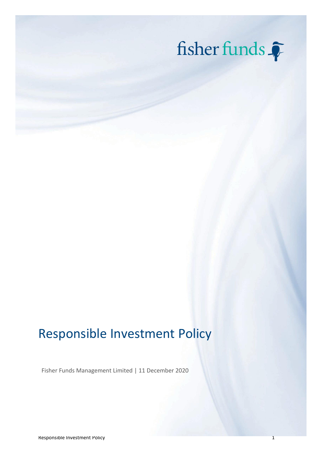

# Responsible Investment Policy

Fisher Funds Management Limited | 11 December 2020

Responsible Investment Policy 1 and 2008 1 and 2008 1 and 2008 1 and 2008 1 and 2008 1 and 2008 1 and 2008 1 and 2008 1 and 2008 1 and 2008 1 and 2008 1 and 2008 1 and 2008 1 and 2008 1 and 2008 1 and 2008 1 and 2008 1 and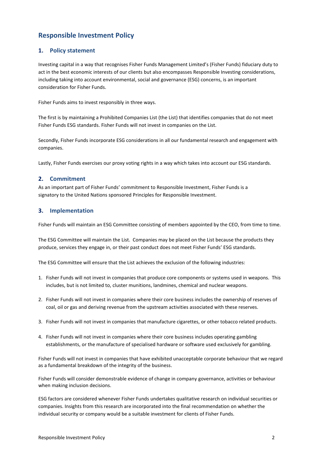# **Responsible Investment Policy**

### **1. Policy statement**

Investing capital in a way that recognises Fisher Funds Management Limited's (Fisher Funds) fiduciary duty to act in the best economic interests of our clients but also encompasses Responsible Investing considerations, including taking into account environmental, social and governance (ESG) concerns, is an important consideration for Fisher Funds.

Fisher Funds aims to invest responsibly in three ways.

The first is by maintaining a Prohibited Companies List (the List) that identifies companies that do not meet Fisher Funds ESG standards. Fisher Funds will not invest in companies on the List.

Secondly, Fisher Funds incorporate ESG considerations in all our fundamental research and engagement with companies.

Lastly, Fisher Funds exercises our proxy voting rights in a way which takes into account our ESG standards.

### **2. Commitment**

As an important part of Fisher Funds' commitment to Responsible Investment, Fisher Funds is a signatory to the United Nations sponsored Principles for Responsible Investment.

### **3. Implementation**

Fisher Funds will maintain an ESG Committee consisting of members appointed by the CEO, from time to time.

The ESG Committee will maintain the List. Companies may be placed on the List because the products they produce, services they engage in, or their past conduct does not meet Fisher Funds' ESG standards.

The ESG Committee will ensure that the List achieves the exclusion of the following industries:

- 1. Fisher Funds will not invest in companies that produce core components or systems used in weapons. This includes, but is not limited to, cluster munitions, landmines, chemical and nuclear weapons.
- 2. Fisher Funds will not invest in companies where their core business includes the ownership of reserves of coal, oil or gas and deriving revenue from the upstream activities associated with these reserves.
- 3. Fisher Funds will not invest in companies that manufacture cigarettes, or other tobacco related products.
- 4. Fisher Funds will not invest in companies where their core business includes operating gambling establishments, or the manufacture of specialised hardware or software used exclusively for gambling.

Fisher Funds will not invest in companies that have exhibited unacceptable corporate behaviour that we regard as a fundamental breakdown of the integrity of the business.

Fisher Funds will consider demonstrable evidence of change in company governance, activities or behaviour when making inclusion decisions.

ESG factors are considered whenever Fisher Funds undertakes qualitative research on individual securities or companies. Insights from this research are incorporated into the final recommendation on whether the individual security or company would be a suitable investment for clients of Fisher Funds.